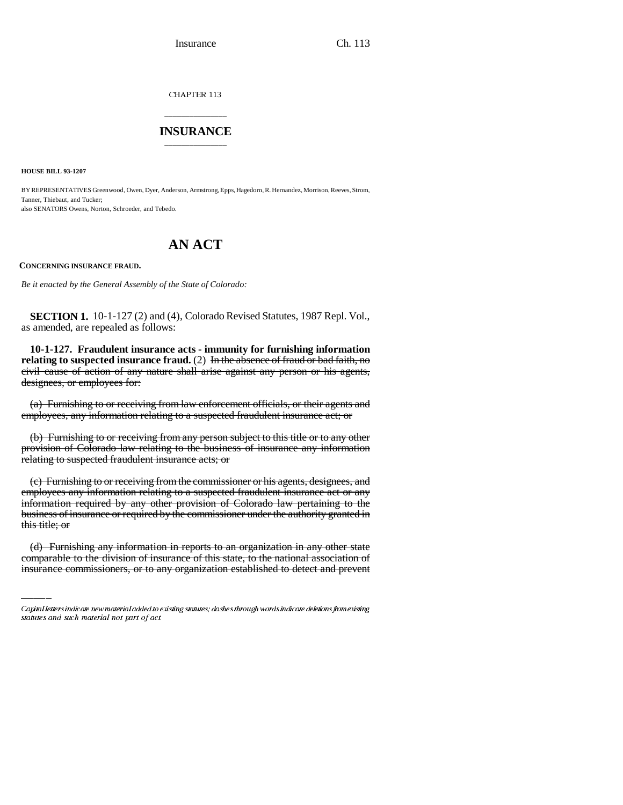Insurance Ch. 113

CHAPTER 113

## \_\_\_\_\_\_\_\_\_\_\_\_\_\_\_ **INSURANCE** \_\_\_\_\_\_\_\_\_\_\_\_\_\_\_

**HOUSE BILL 93-1207**

BY REPRESENTATIVES Greenwood, Owen, Dyer, Anderson, Armstrong, Epps, Hagedorn, R. Hernandez, Morrison, Reeves, Strom, Tanner, Thiebaut, and Tucker; also SENATORS Owens, Norton, Schroeder, and Tebedo.

# **AN ACT**

**CONCERNING INSURANCE FRAUD.**

*Be it enacted by the General Assembly of the State of Colorado:*

**SECTION 1.** 10-1-127 (2) and (4), Colorado Revised Statutes, 1987 Repl. Vol., as amended, are repealed as follows:

**10-1-127. Fraudulent insurance acts - immunity for furnishing information** relating to suspected insurance fraud. (2) In the absence of fraud or bad faith, no civil cause of action of any nature shall arise against any person or his agents, designees, or employees for:

(a) Furnishing to or receiving from law enforcement officials, or their agents and employees, any information relating to a suspected fraudulent insurance act; or

(b) Furnishing to or receiving from any person subject to this title or to any other provision of Colorado law relating to the business of insurance any information relating to suspected fraudulent insurance acts; or

this title; or (c) Furnishing to or receiving from the commissioner or his agents, designees, and employees any information relating to a suspected fraudulent insurance act or any information required by any other provision of Colorado law pertaining to the business of insurance or required by the commissioner under the authority granted in

(d) Furnishing any information in reports to an organization in any other state comparable to the division of insurance of this state, to the national association of insurance commissioners, or to any organization established to detect and prevent

Capital letters indicate new material added to existing statutes; dashes through words indicate deletions from existing statutes and such material not part of act.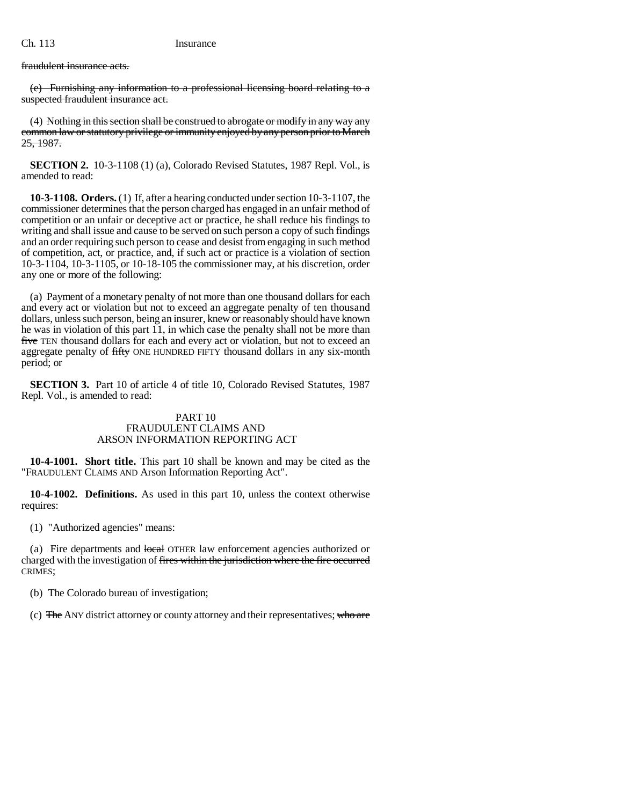fraudulent insurance acts.

(e) Furnishing any information to a professional licensing board relating to a suspected fraudulent insurance act.

(4) Nothing in this section shall be construed to abrogate or modify in any way any common law or statutory privilege or immunity enjoyed by any person prior to March 25, 1987.

**SECTION 2.** 10-3-1108 (1) (a), Colorado Revised Statutes, 1987 Repl. Vol., is amended to read:

**10-3-1108. Orders.** (1) If, after a hearing conducted under section 10-3-1107, the commissioner determines that the person charged has engaged in an unfair method of competition or an unfair or deceptive act or practice, he shall reduce his findings to writing and shall issue and cause to be served on such person a copy of such findings and an order requiring such person to cease and desist from engaging in such method of competition, act, or practice, and, if such act or practice is a violation of section 10-3-1104, 10-3-1105, or 10-18-105 the commissioner may, at his discretion, order any one or more of the following:

(a) Payment of a monetary penalty of not more than one thousand dollars for each and every act or violation but not to exceed an aggregate penalty of ten thousand dollars, unless such person, being an insurer, knew or reasonably should have known he was in violation of this part 11, in which case the penalty shall not be more than five TEN thousand dollars for each and every act or violation, but not to exceed an aggregate penalty of fifty ONE HUNDRED FIFTY thousand dollars in any six-month period; or

**SECTION 3.** Part 10 of article 4 of title 10, Colorado Revised Statutes, 1987 Repl. Vol., is amended to read:

### PART 10 FRAUDULENT CLAIMS AND ARSON INFORMATION REPORTING ACT

**10-4-1001. Short title.** This part 10 shall be known and may be cited as the "FRAUDULENT CLAIMS AND Arson Information Reporting Act".

**10-4-1002. Definitions.** As used in this part 10, unless the context otherwise requires:

(1) "Authorized agencies" means:

(a) Fire departments and local OTHER law enforcement agencies authorized or charged with the investigation of fires within the jurisdiction where the fire occurred CRIMES;

(b) The Colorado bureau of investigation;

(c)  $\overline{F}$  The ANY district attorney or county attorney and their representatives; who are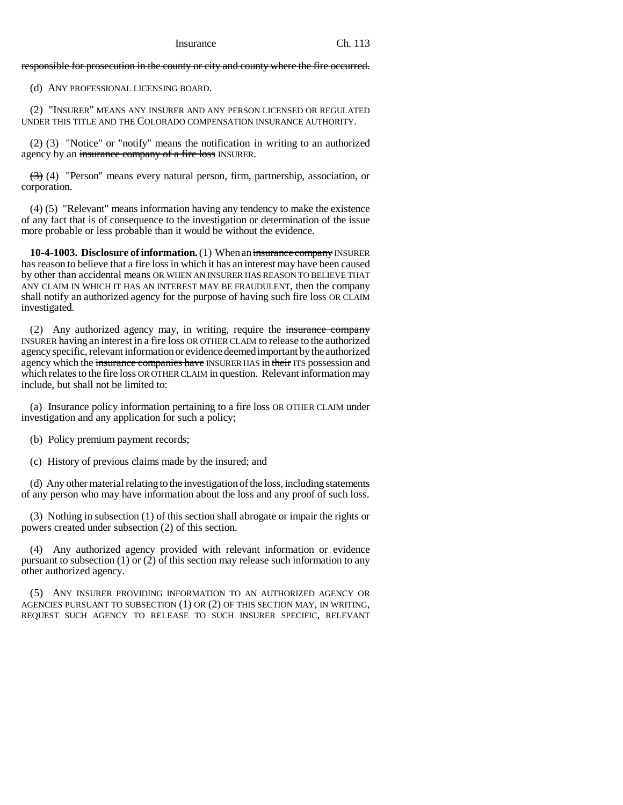responsible for prosecution in the county or city and county where the fire occurred.

(d) ANY PROFESSIONAL LICENSING BOARD.

(2) "INSURER" MEANS ANY INSURER AND ANY PERSON LICENSED OR REGULATED UNDER THIS TITLE AND THE COLORADO COMPENSATION INSURANCE AUTHORITY.

 $(2)$  (3) "Notice" or "notify" means the notification in writing to an authorized agency by an insurance company of a fire loss INSURER.

 $(3)$  (4) "Person" means every natural person, firm, partnership, association, or corporation.

 $(4)$  (5) "Relevant" means information having any tendency to make the existence of any fact that is of consequence to the investigation or determination of the issue more probable or less probable than it would be without the evidence.

**10-4-1003. Disclosure of information.** (1) When an insurance company INSURER has reason to believe that a fire loss in which it has an interest may have been caused by other than accidental means OR WHEN AN INSURER HAS REASON TO BELIEVE THAT ANY CLAIM IN WHICH IT HAS AN INTEREST MAY BE FRAUDULENT, then the company shall notify an authorized agency for the purpose of having such fire loss OR CLAIM investigated.

(2) Any authorized agency may, in writing, require the insurance company INSURER having an interest in a fire loss OR OTHER CLAIM to release to the authorized agency specific, relevant information or evidence deemed important by the authorized agency which the insurance companies have INSURER HAS in their ITS possession and which relates to the fire loss OR OTHER CLAIM in question. Relevant information may include, but shall not be limited to:

(a) Insurance policy information pertaining to a fire loss OR OTHER CLAIM under investigation and any application for such a policy;

(b) Policy premium payment records;

(c) History of previous claims made by the insured; and

(d) Any other material relating to the investigation of the loss, including statements of any person who may have information about the loss and any proof of such loss.

(3) Nothing in subsection (1) of this section shall abrogate or impair the rights or powers created under subsection (2) of this section.

(4) Any authorized agency provided with relevant information or evidence pursuant to subsection (1) or (2) of this section may release such information to any other authorized agency.

(5) ANY INSURER PROVIDING INFORMATION TO AN AUTHORIZED AGENCY OR AGENCIES PURSUANT TO SUBSECTION (1) OR (2) OF THIS SECTION MAY, IN WRITING, REQUEST SUCH AGENCY TO RELEASE TO SUCH INSURER SPECIFIC, RELEVANT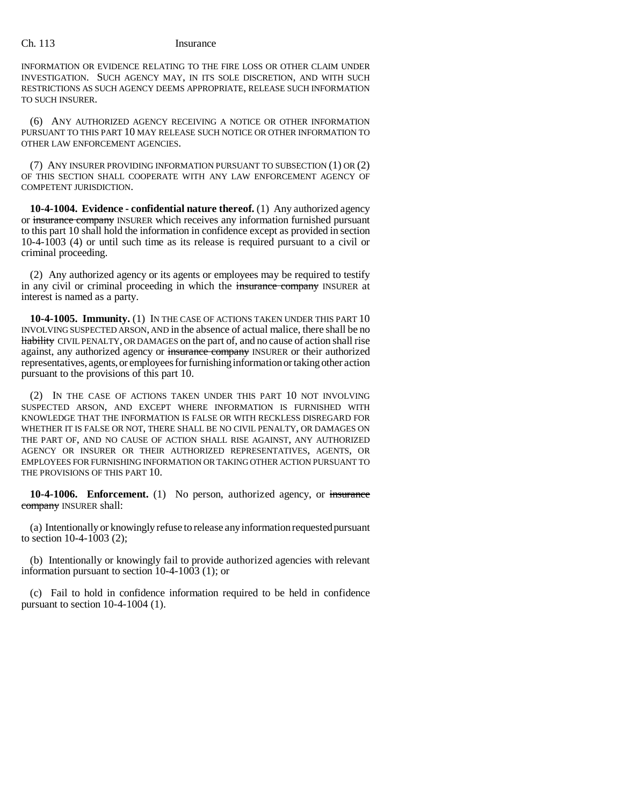#### Ch. 113 Insurance

INFORMATION OR EVIDENCE RELATING TO THE FIRE LOSS OR OTHER CLAIM UNDER INVESTIGATION. SUCH AGENCY MAY, IN ITS SOLE DISCRETION, AND WITH SUCH RESTRICTIONS AS SUCH AGENCY DEEMS APPROPRIATE, RELEASE SUCH INFORMATION TO SUCH INSURER.

(6) ANY AUTHORIZED AGENCY RECEIVING A NOTICE OR OTHER INFORMATION PURSUANT TO THIS PART 10 MAY RELEASE SUCH NOTICE OR OTHER INFORMATION TO OTHER LAW ENFORCEMENT AGENCIES.

(7) ANY INSURER PROVIDING INFORMATION PURSUANT TO SUBSECTION (1) OR (2) OF THIS SECTION SHALL COOPERATE WITH ANY LAW ENFORCEMENT AGENCY OF COMPETENT JURISDICTION.

**10-4-1004. Evidence - confidential nature thereof.** (1) Any authorized agency or insurance company INSURER which receives any information furnished pursuant to this part 10 shall hold the information in confidence except as provided in section 10-4-1003 (4) or until such time as its release is required pursuant to a civil or criminal proceeding.

(2) Any authorized agency or its agents or employees may be required to testify in any civil or criminal proceeding in which the insurance company INSURER at interest is named as a party.

**10-4-1005. Immunity.** (1) IN THE CASE OF ACTIONS TAKEN UNDER THIS PART 10 INVOLVING SUSPECTED ARSON, AND in the absence of actual malice, there shall be no liability CIVIL PENALTY, OR DAMAGES on the part of, and no cause of action shall rise against, any authorized agency or insurance company INSURER or their authorized representatives, agents, or employees for furnishing information or taking other action pursuant to the provisions of this part 10.

(2) IN THE CASE OF ACTIONS TAKEN UNDER THIS PART 10 NOT INVOLVING SUSPECTED ARSON, AND EXCEPT WHERE INFORMATION IS FURNISHED WITH KNOWLEDGE THAT THE INFORMATION IS FALSE OR WITH RECKLESS DISREGARD FOR WHETHER IT IS FALSE OR NOT, THERE SHALL BE NO CIVIL PENALTY, OR DAMAGES ON THE PART OF, AND NO CAUSE OF ACTION SHALL RISE AGAINST, ANY AUTHORIZED AGENCY OR INSURER OR THEIR AUTHORIZED REPRESENTATIVES, AGENTS, OR EMPLOYEES FOR FURNISHING INFORMATION OR TAKING OTHER ACTION PURSUANT TO THE PROVISIONS OF THIS PART 10.

**10-4-1006. Enforcement.** (1) No person, authorized agency, or insurance company INSURER shall:

(a) Intentionally or knowingly refuse to release any information requested pursuant to section 10-4-1003 (2);

(b) Intentionally or knowingly fail to provide authorized agencies with relevant information pursuant to section 10-4-1003 (1); or

(c) Fail to hold in confidence information required to be held in confidence pursuant to section 10-4-1004 (1).